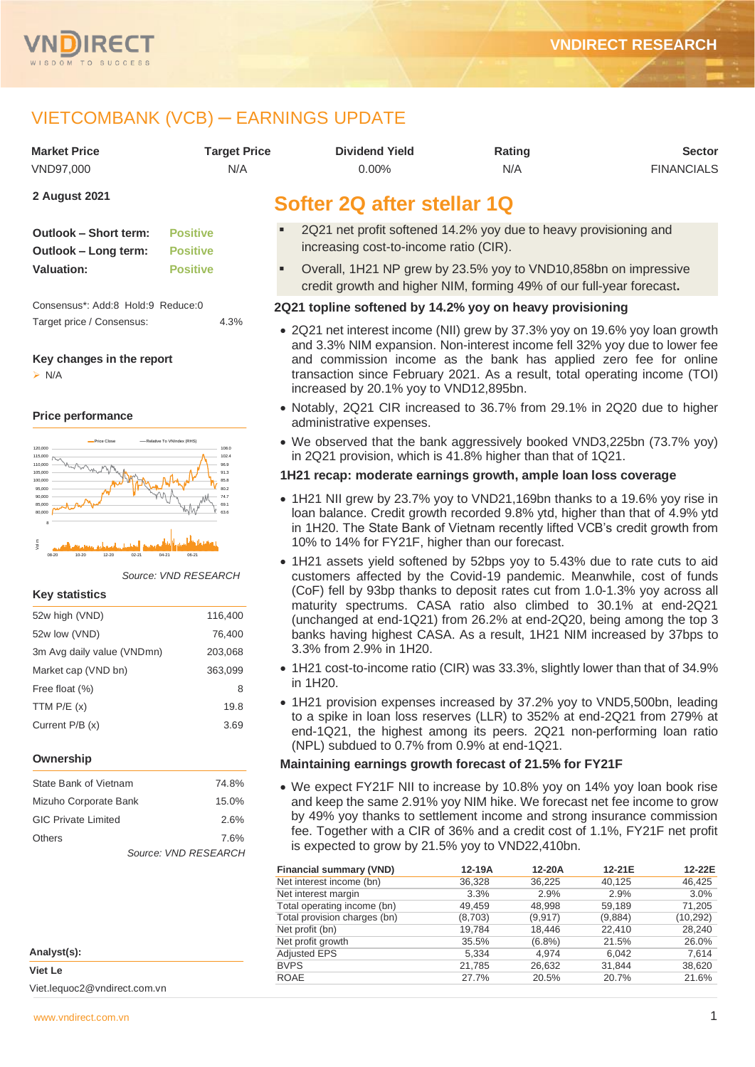

# VIETCOMBANK (VCB) ─ EARNINGS UPDATE

| <b>Market Price</b>                                                            | <b>Target Price</b>                                  | <b>Dividend Yield</b>                                                                                                                                                                                                                                                                                                                                 |                | Rating         |                | <b>Sector</b>     |
|--------------------------------------------------------------------------------|------------------------------------------------------|-------------------------------------------------------------------------------------------------------------------------------------------------------------------------------------------------------------------------------------------------------------------------------------------------------------------------------------------------------|----------------|----------------|----------------|-------------------|
| VND97,000                                                                      | N/A                                                  | $0.00\%$                                                                                                                                                                                                                                                                                                                                              |                | N/A            |                | <b>FINANCIALS</b> |
| 2 August 2021                                                                  |                                                      | Softer 2Q after stellar 1Q                                                                                                                                                                                                                                                                                                                            |                |                |                |                   |
| Outlook - Short term:<br>Outlook - Long term:                                  | <b>Positive</b><br><b>Positive</b>                   | 2Q21 net profit softened 14.2% yoy due to heavy provisioning and<br>increasing cost-to-income ratio (CIR).                                                                                                                                                                                                                                            |                |                |                |                   |
| <b>Valuation:</b>                                                              | <b>Positive</b>                                      | Overall, 1H21 NP grew by 23.5% yoy to VND10,858bn on impressive<br>credit growth and higher NIM, forming 49% of our full-year forecast.                                                                                                                                                                                                               |                |                |                |                   |
| Consensus*: Add:8 Hold:9 Reduce:0                                              |                                                      | 2Q21 topline softened by 14.2% yoy on heavy provisioning                                                                                                                                                                                                                                                                                              |                |                |                |                   |
| Target price / Consensus:<br>Key changes in the report<br>$\triangleright$ N/A | 4.3%                                                 | • 2Q21 net interest income (NII) grew by 37.3% yoy on 19.6% yoy loan growth<br>and 3.3% NIM expansion. Non-interest income fell 32% yoy due to lower fee<br>and commission income as the bank has applied zero fee for online<br>transaction since February 2021. As a result, total operating income (TOI)<br>increased by 20.1% yoy to VND12,895bn. |                |                |                |                   |
| <b>Price performance</b>                                                       |                                                      | • Notably, 2Q21 CIR increased to 36.7% from 29.1% in 2Q20 due to higher<br>administrative expenses.                                                                                                                                                                                                                                                   |                |                |                |                   |
| -Price Close<br>120,000<br>115,000<br>110,000                                  | -Relative To VNIndex (RHS)<br>108.0<br>102.4<br>96.9 | • We observed that the bank aggressively booked VND3,225bn (73.7% yoy)<br>in 2Q21 provision, which is 41.8% higher than that of 1Q21.                                                                                                                                                                                                                 |                |                |                |                   |
| 105,000<br>100.000                                                             | 91.3<br>85.8                                         | 1H21 recap: moderate earnings growth, ample loan loss coverage                                                                                                                                                                                                                                                                                        |                |                |                |                   |
| 95.000<br>85,000<br>80,000                                                     | 802<br>74.7<br>69.1                                  | • 1H21 NII grew by 23.7% yoy to VND21,169bn thanks to a 19.6% yoy rise in<br>loan balance. Credit growth recorded 9.8% ytd, higher than that of 4.9% ytd<br>in 1H20. The State Bank of Vietnam recently lifted VCB's credit growth from<br>10% to 14% for FY21F, higher than our forecast.                                                            |                |                |                |                   |
| 12-20<br><b>Key statistics</b>                                                 | Source: VND RESEARCH                                 | • 1H21 assets yield softened by 52bps yoy to 5.43% due to rate cuts to aid<br>customers affected by the Covid-19 pandemic. Meanwhile, cost of funds<br>(CoF) fell by 93bp thanks to deposit rates cut from 1.0-1.3% yoy across all                                                                                                                    |                |                |                |                   |
| 52w high (VND)                                                                 | 116,400                                              | maturity spectrums. CASA ratio also climbed to 30.1% at end-2Q21<br>(unchanged at end-1Q21) from 26.2% at end-2Q20, being among the top 3                                                                                                                                                                                                             |                |                |                |                   |
| 52w low (VND)                                                                  | 76,400                                               | banks having highest CASA. As a result, 1H21 NIM increased by 37bps to                                                                                                                                                                                                                                                                                |                |                |                |                   |
| 3m Avg daily value (VNDmn)                                                     | 203,068                                              | 3.3% from 2.9% in 1H20.                                                                                                                                                                                                                                                                                                                               |                |                |                |                   |
| Market cap (VND bn)                                                            | 363,099                                              | • 1H21 cost-to-income ratio (CIR) was 33.3%, slightly lower than that of 34.9%                                                                                                                                                                                                                                                                        |                |                |                |                   |
| Free float (%)                                                                 | 8                                                    | in 1H20.                                                                                                                                                                                                                                                                                                                                              |                |                |                |                   |
| TTM $P/E(x)$                                                                   | 19.8                                                 | • 1H21 provision expenses increased by 37.2% yoy to VND5,500bn, leading<br>to a spike in loan loss reserves (LLR) to 352% at end-2Q21 from 279% at                                                                                                                                                                                                    |                |                |                |                   |
| Current P/B (x)                                                                | 3.69                                                 | end-1Q21, the highest among its peers. 2Q21 non-performing loan ratio<br>(NPL) subdued to 0.7% from 0.9% at end-1Q21.                                                                                                                                                                                                                                 |                |                |                |                   |
| Ownership                                                                      |                                                      | Maintaining earnings growth forecast of 21.5% for FY21F                                                                                                                                                                                                                                                                                               |                |                |                |                   |
| State Bank of Vietnam                                                          | 74.8%                                                | • We expect FY21F NII to increase by 10.8% yoy on 14% yoy loan book rise                                                                                                                                                                                                                                                                              |                |                |                |                   |
| Mizuho Corporate Bank                                                          | 15.0%                                                | and keep the same 2.91% yoy NIM hike. We forecast net fee income to grow                                                                                                                                                                                                                                                                              |                |                |                |                   |
| <b>GIC Private Limited</b>                                                     | 2.6%                                                 | by 49% yoy thanks to settlement income and strong insurance commission                                                                                                                                                                                                                                                                                |                |                |                |                   |
| Others                                                                         | 7.6%                                                 | fee. Together with a CIR of 36% and a credit cost of 1.1%, FY21F net profit                                                                                                                                                                                                                                                                           |                |                |                |                   |
|                                                                                | Source: VND RESEARCH                                 | is expected to grow by 21.5% yoy to VND22,410bn.                                                                                                                                                                                                                                                                                                      |                |                |                |                   |
|                                                                                |                                                      | <b>Financial summary (VND)</b>                                                                                                                                                                                                                                                                                                                        | 12-19A         | 12-20A         | 12-21E         | 12-22E            |
|                                                                                |                                                      | Net interest income (bn)<br>Net interest margin                                                                                                                                                                                                                                                                                                       | 36,328<br>3.3% | 36,225<br>2.9% | 40,125<br>2.9% | 46,425<br>3.0%    |
|                                                                                |                                                      | Total operating income (bn)                                                                                                                                                                                                                                                                                                                           | 49,459         | 48,998         | 59,189         | 71,205            |

Total operating income (bn) 49,459 48,998 59,189 71,205 Total provision charges (bn) (8,703) (9,917) (9,884) (10,292) Net profit (bn)<br>
Net profit (bn)<br>
Net profit growth<br>
Net profit growth<br>
26.0%<br>
26.0%<br>
26.0%<br>
26.0% Net profit growth  $\begin{array}{cccc} 35.5\% & (6.8\%) & 21.5\% & 26.0\% \\ \text{Adiusted EPS} & 5.334 & 4.974 & 6.042 & 7.614 \end{array}$ Adjusted EPS 5,334 4,974 6,042 7,614<br>BVPS 21,785 26,632 31,844 38,620 BVPS 21,785 26,632 31,844 38,620 ROAE 27.7% 20.5% 20.7% 21.6%

| Analyst(s):                  |  |
|------------------------------|--|
| Viet Le                      |  |
| Viet.lequoc2@vndirect.com.vn |  |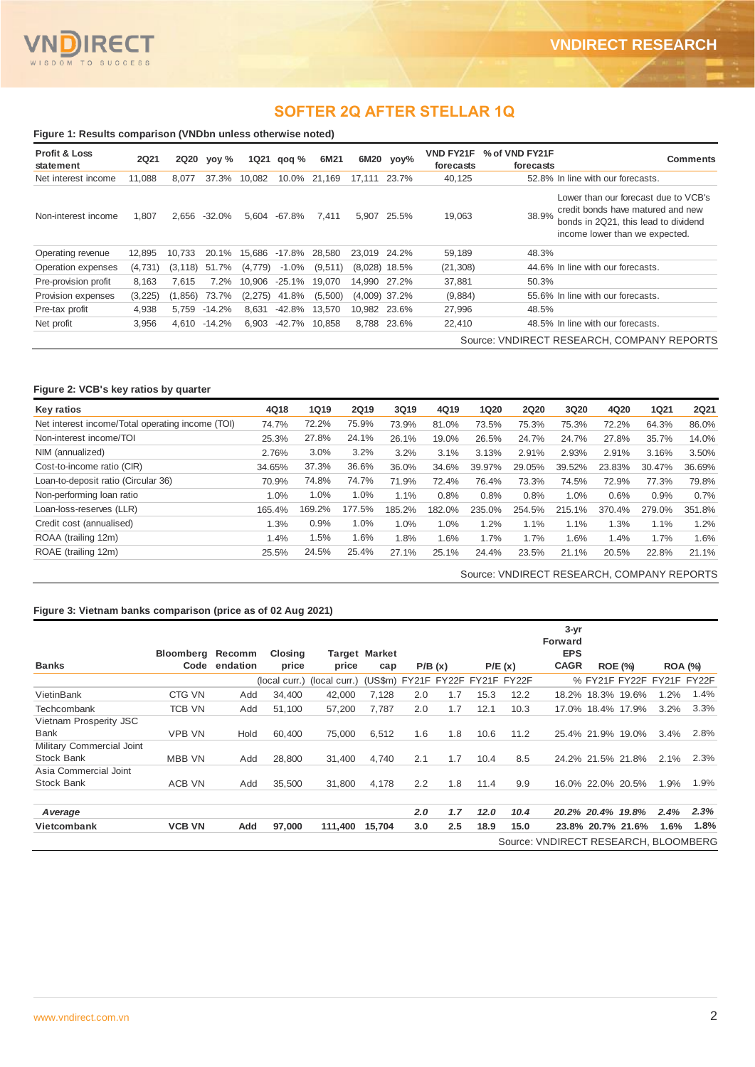## **SOFTER 2Q AFTER STELLAR 1Q**

| <b>Profit &amp; Loss</b><br>statement | <b>2Q21</b> | <b>2Q20</b> | yoy %        | <b>1Q21</b> | qoq %    | 6M21    |              | $6M20$ yoy%     | <b>VND FY21F</b><br>forecasts | % of VND FY21F<br>forecasts | <b>Comments</b>                                                                                                                                     |
|---------------------------------------|-------------|-------------|--------------|-------------|----------|---------|--------------|-----------------|-------------------------------|-----------------------------|-----------------------------------------------------------------------------------------------------------------------------------------------------|
| Net interest income                   | 11,088      | 8,077       | 37.3%        | 10,082      | 10.0%    | 21,169  | 17.111       | 23.7%           | 40,125                        |                             | 52.8% In line with our forecasts.                                                                                                                   |
| Non-interest income                   | 1,807       | 2,656       | $-32.0%$     | 5,604       | -67.8%   | 7.411   | 5,907        | 25.5%           | 19,063                        | 38.9%                       | Lower than our forecast due to VCB's<br>credit bonds have matured and new<br>bonds in 2Q21, this lead to dividend<br>income lower than we expected. |
| Operating revenue                     | 12,895      | 10.733      | 20.1%        | 15.686      | -17.8%   | 28,580  | 23.019 24.2% |                 | 59,189                        | 48.3%                       |                                                                                                                                                     |
| Operation expenses                    | (4,731)     | (3, 118)    | 51.7%        | (4,779)     | $-1.0\%$ | (9,511) |              | $(8.028)$ 18.5% | (21, 308)                     |                             | 44.6% In line with our forecasts.                                                                                                                   |
| Pre-provision profit                  | 8.163       | 7.615       | 7.2%         | 10.906      | $-25.1%$ | 19.070  | 14.990       | 27.2%           | 37,881                        | 50.3%                       |                                                                                                                                                     |
| Provision expenses                    | (3, 225)    | (1,856)     | 73.7%        | (2, 275)    | 41.8%    | (5,500) |              | $(4.009)$ 37.2% | (9,884)                       |                             | 55.6% In line with our forecasts.                                                                                                                   |
| Pre-tax profit                        | 4,938       | 5,759       | $-14.2%$     | 8,631       | -42.8%   | 13.570  | 10.982       | 23.6%           | 27,996                        | 48.5%                       |                                                                                                                                                     |
| Net profit                            | 3,956       |             | 4,610 -14.2% | 6,903       | -42.7%   | 10,858  | 8.788        | 23.6%           | 22,410                        |                             | 48.5% In line with our forecasts.                                                                                                                   |

### **Figure 2: VCB's key ratios by quarter**

| Key ratios                                       | 4Q18   | <b>1Q19</b> | <b>2Q19</b>   | 3Q19   | 4Q19   | <b>1Q20</b> | <b>2Q20</b> | 3Q20   | 4Q20   | 1Q21   | <b>2Q21</b> |
|--------------------------------------------------|--------|-------------|---------------|--------|--------|-------------|-------------|--------|--------|--------|-------------|
| Net interest income/Total operating income (TOI) | 74.7%  | 72.2%       | 75.9%         | 73.9%  | 81.0%  | 73.5%       | 75.3%       | 75.3%  | 72.2%  | 64.3%  | 86.0%       |
| Non-interest income/TOI                          | 25.3%  | 27.8%       | 24.1%         | 26.1%  | 19.0%  | 26.5%       | 24.7%       | 24.7%  | 27.8%  | 35.7%  | 14.0%       |
| NIM (annualized)                                 | 2.76%  | 3.0%        | 3.2%          | 3.2%   | 3.1%   | 3.13%       | 2.91%       | 2.93%  | 2.91%  | 3.16%  | 3.50%       |
| Cost-to-income ratio (CIR)                       | 34.65% | 37.3%       | 36.6%         | 36.0%  | 34.6%  | 39.97%      | 29.05%      | 39.52% | 23.83% | 30.47% | 36.69%      |
| Loan-to-deposit ratio (Circular 36)              | 70.9%  | 74.8%       | 74.7%         | 71.9%  | 72.4%  | 76.4%       | 73.3%       | 74.5%  | 72.9%  | 77.3%  | 79.8%       |
| Non-performing loan ratio                        | 1.0%   | 1.0%        | 1.0%          | 1.1%   | 0.8%   | 0.8%        | 0.8%        | 1.0%   | 0.6%   | 0.9%   | 0.7%        |
| Loan-loss-reserves (LLR)                         | 165.4% | 169.2%      | $.5\%$<br>177 | 185.2% | 182.0% | 235.0%      | 254.5%      | 215.1% | 370.4% | 279.0% | 351.8%      |
| Credit cost (annualised)                         | 1.3%   | 0.9%        | 1.0%          | 1.0%   | 1.0%   | 1.2%        | 1.1%        | 1.1%   | 1.3%   | 1.1%   | 1.2%        |
| ROAA (trailing 12m)                              | 1.4%   | 1.5%        | 1.6%          | 1.8%   | 1.6%   | 1.7%        | 1.7%        | 1.6%   | 1.4%   | 1.7%   | 1.6%        |
| ROAE (trailing 12m)                              | 25.5%  | 24.5%       | 25.4%         | 27.1%  | 25.1%  | 24.4%       | 23.5%       | 21.1%  | 20.5%  | 22.8%  | 21.1%       |

Source: VNDIRECT RESEARCH, COMPANY REPORTS

### **Figure 3: Vietnam banks comparison (price as of 02 Aug 2021)**

|                           | Bloomberg     | Recomm        | Closing |                                                             | <b>Target Market</b> |     |        |      |        | $3 - yr$<br>Forward<br><b>EPS</b>    |                   |       |                           |      |
|---------------------------|---------------|---------------|---------|-------------------------------------------------------------|----------------------|-----|--------|------|--------|--------------------------------------|-------------------|-------|---------------------------|------|
| <b>Banks</b>              |               | Code endation | price   | price                                                       | cap                  |     | P/B(x) |      | P/E(x) | <b>CAGR</b>                          | <b>ROE (%)</b>    |       | <b>ROA (%)</b>            |      |
|                           |               |               |         | (local curr.) (local curr.) (US\$m) FY21F FY22F FY21F FY22F |                      |     |        |      |        |                                      |                   |       | % FY21F FY22F FY21F FY22F |      |
| VietinBank                | CTG VN        | Add           | 34,400  | 42,000                                                      | 7.128                | 2.0 | 1.7    | 15.3 | 12.2   |                                      | 18.2% 18.3% 19.6% |       | 1.2%                      | 1.4% |
| Techcombank               | <b>TCB VN</b> | Add           | 51.100  | 57.200                                                      | 7.787                | 2.0 | 1.7    | 12.1 | 10.3   | 17.0%                                | 18.4% 17.9%       |       | 3.2%                      | 3.3% |
| Vietnam Prosperity JSC    |               |               |         |                                                             |                      |     |        |      |        |                                      |                   |       |                           |      |
| <b>Bank</b>               | <b>VPB VN</b> | Hold          | 60.400  | 75,000                                                      | 6,512                | 1.6 | 1.8    | 10.6 | 11.2   |                                      | 25.4% 21.9%       | 19.0% | 3.4%                      | 2.8% |
| Military Commercial Joint |               |               |         |                                                             |                      |     |        |      |        |                                      |                   |       |                           |      |
| Stock Bank                | <b>MBB VN</b> | Add           | 28.800  | 31.400                                                      | 4.740                | 2.1 | 1.7    | 10.4 | 8.5    |                                      | 24.2% 21.5% 21.8% |       | 2.1%                      | 2.3% |
| Asia Commercial Joint     |               |               |         |                                                             |                      |     |        |      |        |                                      |                   |       |                           |      |
| <b>Stock Bank</b>         | <b>ACB VN</b> | Add           | 35,500  | 31,800                                                      | 4,178                | 2.2 | 1.8    | 11.4 | 9.9    |                                      | 16.0% 22.0% 20.5% |       | 1.9%                      | 1.9% |
| <b>Average</b>            |               |               |         |                                                             |                      | 2.0 | 1.7    | 12.0 | 10.4   |                                      | 20.2% 20.4% 19.8% |       | 2.4%                      | 2.3% |
| Vietcombank               | <b>VCB VN</b> | Add           | 97,000  | 111,400                                                     | 15,704               | 3.0 | 2.5    | 18.9 | 15.0   |                                      | 23.8% 20.7% 21.6% |       | 1.6%                      | 1.8% |
|                           |               |               |         |                                                             |                      |     |        |      |        | Source: VNDIRECT RESEARCH, BLOOMBERG |                   |       |                           |      |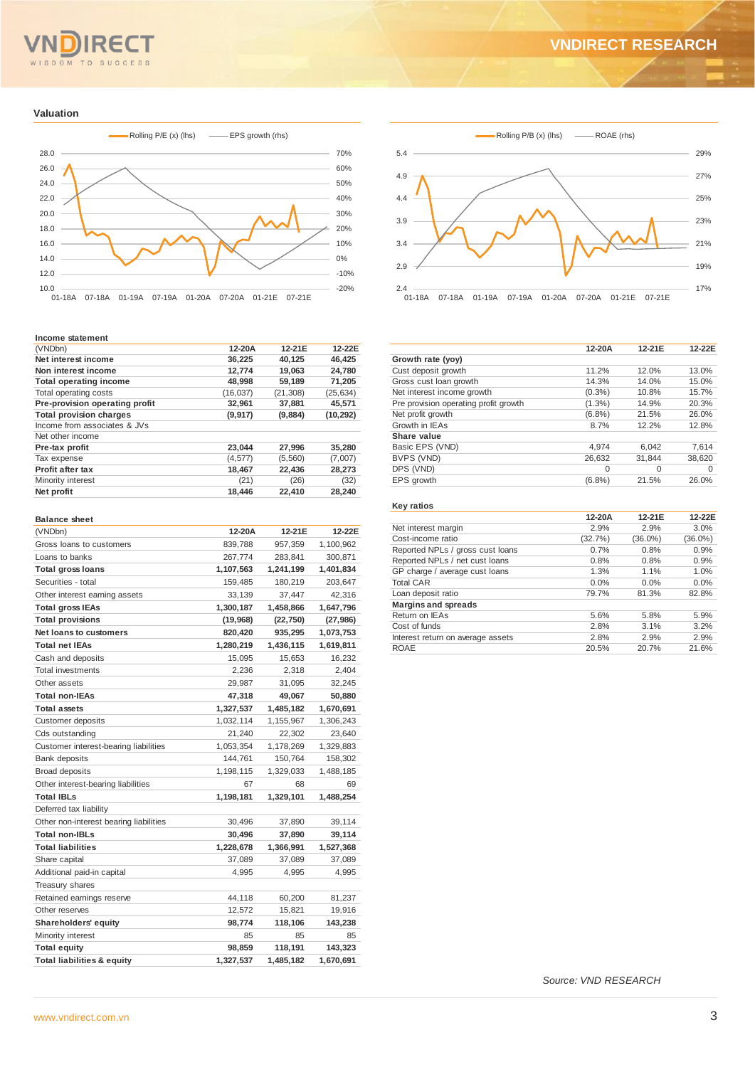# **VNDIRECT RESEARCH**

OM TO SUCCESS  $S<sub>D</sub>$ 

#### **Valuation**



#### **Income statement**

| (VNDbn)                        | 12-20A    | 12-21E    | 12-22E    |
|--------------------------------|-----------|-----------|-----------|
| Net interest income            | 36,225    | 40.125    | 46,425    |
| Non interest income            | 12,774    | 19,063    | 24.780    |
| <b>Total operating income</b>  | 48,998    | 59,189    | 71,205    |
| Total operating costs          | (16, 037) | (21, 308) | (25, 634) |
| Pre-provision operating profit | 32,961    | 37,881    | 45,571    |
| <b>Total provision charges</b> | (9, 917)  | (9,884)   | (10, 292) |
| Income from associates & JVs   |           |           |           |
| Net other income               |           |           |           |
| Pre-tax profit                 | 23,044    | 27,996    | 35,280    |
| Tax expense                    | (4, 577)  | (5,560)   | (7,007)   |
| Profit after tax               | 18,467    | 22.436    | 28,273    |
| Minority interest              | (21)      | (26)      | (32)      |
| Net profit                     | 18,446    | 22,410    | 28,240    |

#### **Balance sheet**

| (VNDbn)                                | 12-20A    | 12-21E    | 12-22E    |
|----------------------------------------|-----------|-----------|-----------|
| Gross loans to customers               | 839,788   | 957,359   | 1,100,962 |
| Loans to banks                         | 267,774   | 283,841   | 300,871   |
| <b>Total gross loans</b>               | 1,107,563 | 1,241,199 | 1,401,834 |
| Securities - total                     | 159,485   | 180,219   | 203,647   |
| Other interest earning assets          | 33,139    | 37,447    | 42,316    |
| <b>Total gross IEAs</b>                | 1,300,187 | 1,458,866 | 1,647,796 |
| <b>Total provisions</b>                | (19, 968) | (22, 750) | (27, 986) |
| <b>Net loans to customers</b>          | 820,420   | 935,295   | 1,073,753 |
| <b>Total net IEAs</b>                  | 1,280,219 | 1,436,115 | 1,619,811 |
| Cash and deposits                      | 15,095    | 15,653    | 16,232    |
| <b>Total investments</b>               | 2,236     | 2,318     | 2,404     |
| Other assets                           | 29,987    | 31,095    | 32,245    |
| <b>Total non-IEAs</b>                  | 47,318    | 49,067    | 50,880    |
| <b>Total assets</b>                    | 1,327,537 | 1,485,182 | 1,670,691 |
| Customer deposits                      | 1,032,114 | 1,155,967 | 1,306,243 |
| Cds outstanding                        | 21,240    | 22,302    | 23,640    |
| Customer interest-bearing liabilities  | 1,053,354 | 1,178,269 | 1,329,883 |
| <b>Bank deposits</b>                   | 144,761   | 150,764   | 158,302   |
| <b>Broad deposits</b>                  | 1,198,115 | 1,329,033 | 1,488,185 |
| Other interest-bearing liabilities     | 67        | 68        | 69        |
| <b>Total IBLs</b>                      | 1,198,181 | 1,329,101 | 1,488,254 |
| Deferred tax liability                 |           |           |           |
| Other non-interest bearing liabilities | 30,496    | 37,890    | 39,114    |
| <b>Total non-IBLs</b>                  | 30,496    | 37,890    | 39,114    |
| <b>Total liabilities</b>               | 1,228,678 | 1,366,991 | 1,527,368 |
| Share capital                          | 37,089    | 37,089    | 37,089    |
| Additional paid-in capital             | 4,995     | 4,995     | 4,995     |
| Treasury shares                        |           |           |           |
| Retained earnings reserve              | 44,118    | 60,200    | 81,237    |
| Other reserves                         | 12,572    | 15,821    | 19,916    |
| Shareholders' equity                   | 98,774    | 118,106   | 143,238   |
| Minority interest                      | 85        | 85        | 85        |
| <b>Total equity</b>                    | 98,859    | 118,191   | 143,323   |
| <b>Total liabilities &amp; equity</b>  | 1,327,537 | 1,485,182 | 1,670,691 |



|                                       | 12-20A    | 12-21E   | 12-22E   |
|---------------------------------------|-----------|----------|----------|
| Growth rate (yoy)                     |           |          |          |
| Cust deposit growth                   | 11.2%     | 12.0%    | 13.0%    |
| Gross cust loan growth                | 14.3%     | 14.0%    | 15.0%    |
| Net interest income growth            | $(0.3\%)$ | 10.8%    | 15.7%    |
| Pre provision operating profit growth | $(1.3\%)$ | 14.9%    | 20.3%    |
| Net profit growth                     | (6.8%)    | 21.5%    | 26.0%    |
| Growth in IEAs                        | 8.7%      | 12.2%    | 12.8%    |
| Share value                           |           |          |          |
| Basic EPS (VND)                       | 4.974     | 6,042    | 7,614    |
| BVPS (VND)                            | 26.632    | 31.844   | 38.620   |
| DPS (VND)                             | $\Omega$  | $\Omega$ | $\Omega$ |
| EPS growth                            | (6.8%)    | 21.5%    | 26.0%    |
|                                       |           |          |          |

#### **Key ratios**

| Net interest margin<br>2.9%<br>2.9%<br>3.0%<br>Cost-income ratio<br>(32.7%)<br>$(36.0\%)$<br>$(36.0\%)$<br>Reported NPLs / gross cust loans<br>0.9%<br>0.7%<br>0.8%<br>Reported NPLs / net cust loans<br>0.8%<br>0.9%<br>0.8%<br>GP charge / average cust loans<br>1.3%<br>1.1%<br>1.0%<br><b>Total CAR</b><br>0.0%<br>0.0%<br>0.0% | 12-20A | 12-21E | 12-22E |
|-------------------------------------------------------------------------------------------------------------------------------------------------------------------------------------------------------------------------------------------------------------------------------------------------------------------------------------|--------|--------|--------|
|                                                                                                                                                                                                                                                                                                                                     |        |        |        |
|                                                                                                                                                                                                                                                                                                                                     |        |        |        |
|                                                                                                                                                                                                                                                                                                                                     |        |        |        |
|                                                                                                                                                                                                                                                                                                                                     |        |        |        |
|                                                                                                                                                                                                                                                                                                                                     |        |        |        |
|                                                                                                                                                                                                                                                                                                                                     |        |        |        |
| Loan deposit ratio<br>79.7%<br>82.8%<br>81.3%                                                                                                                                                                                                                                                                                       |        |        |        |
| <b>Margins and spreads</b>                                                                                                                                                                                                                                                                                                          |        |        |        |
| Return on IEAs<br>5.6%<br>5.9%<br>5.8%                                                                                                                                                                                                                                                                                              |        |        |        |
| Cost of funds<br>2.8%<br>3.1%<br>3.2%                                                                                                                                                                                                                                                                                               |        |        |        |
| 2.8%<br>2.9%<br>2.9%<br>Interest return on average assets                                                                                                                                                                                                                                                                           |        |        |        |
| <b>ROAE</b><br>21.6%<br>20.5%<br>20.7%                                                                                                                                                                                                                                                                                              |        |        |        |